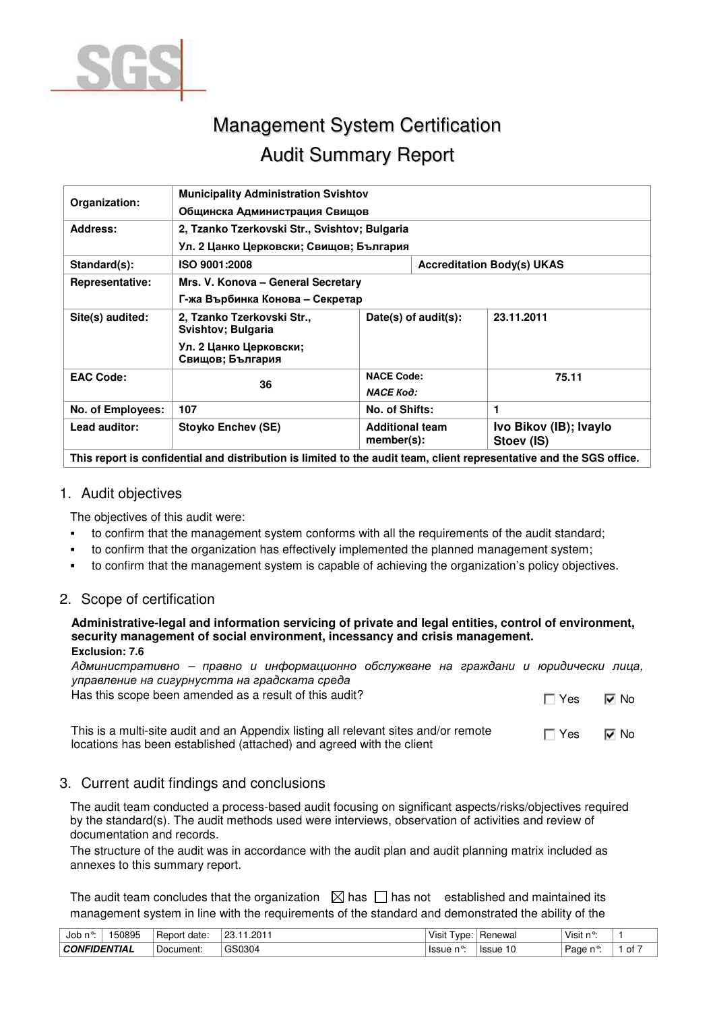

# Management System Certification Audit Summary Report

| Organization:          | <b>Municipality Administration Svishtov</b>                                                                          |                                         |  |                                      |  |  |  |  |
|------------------------|----------------------------------------------------------------------------------------------------------------------|-----------------------------------------|--|--------------------------------------|--|--|--|--|
|                        | Общинска Администрация Свищов                                                                                        |                                         |  |                                      |  |  |  |  |
| Address:               | 2, Tzanko Tzerkovski Str., Svishtov; Bulgaria                                                                        |                                         |  |                                      |  |  |  |  |
|                        |                                                                                                                      | Ул. 2 Цанко Церковски; Свищов; България |  |                                      |  |  |  |  |
| Standard(s):           | ISO 9001:2008                                                                                                        |                                         |  | <b>Accreditation Body(s) UKAS</b>    |  |  |  |  |
| <b>Representative:</b> | Mrs. V. Konova – General Secretary                                                                                   |                                         |  |                                      |  |  |  |  |
|                        | Г-жа Върбинка Конова – Секретар                                                                                      |                                         |  |                                      |  |  |  |  |
| Site(s) audited:       | 2, Tzanko Tzerkovski Str.,<br>Svishtov; Bulgaria                                                                     | Date(s) of $audit(s)$ :                 |  | 23.11.2011                           |  |  |  |  |
|                        | Ул. 2 Цанко Церковски;<br>Свищов; България                                                                           |                                         |  |                                      |  |  |  |  |
| <b>EAC Code:</b>       | 36                                                                                                                   | <b>NACE Code:</b>                       |  | 75.11                                |  |  |  |  |
|                        |                                                                                                                      | <b>NACE Kod:</b>                        |  |                                      |  |  |  |  |
| No. of Employees:      | 107                                                                                                                  | No. of Shifts:                          |  | 1                                    |  |  |  |  |
| Lead auditor:          | Stoyko Enchev (SE)                                                                                                   | <b>Additional team</b><br>member(s):    |  | Ivo Bikov (IB); Ivaylo<br>Stoev (IS) |  |  |  |  |
|                        | This report is confidential and distribution is limited to the audit team, client representative and the SGS office. |                                         |  |                                      |  |  |  |  |

#### 1. Audit objectives

The objectives of this audit were:

- to confirm that the management system conforms with all the requirements of the audit standard;
- to confirm that the organization has effectively implemented the planned management system;
- to confirm that the management system is capable of achieving the organization's policy objectives.

## 2. Scope of certification

#### **Administrative-legal and information servicing of private and legal entities, control of environment, security management of social environment, incessancy and crisis management. Exclusion: 7.6**

Административно – правно и информационно обслужване на граждани и юридически лица, управление на сигурнустта на градската среда

Has this scope been amended as a result of this audit?  $\Box$  Yes  $\Box$  Yes  $\Box$  No This is a multi-site audit and an Appendix listing all relevant sites and/or remote locations has been established (attached) and agreed with the client  $\Box$  Yes  $\Box$  No

## 3. Current audit findings and conclusions

The audit team conducted a process-based audit focusing on significant aspects/risks/objectives required by the standard(s). The audit methods used were interviews, observation of activities and review of documentation and records.

The structure of the audit was in accordance with the audit plan and audit planning matrix included as annexes to this summary report.

The audit team concludes that the organization  $\boxtimes$  has  $\Box$  has not established and maintained its management system in line with the requirements of the standard and demonstrated the ability of the

| Job n°              | 50895 | date<br>Report | 2011<br>nn<br>. دے ّ<br>ΔU | $\cdots$<br>Visit<br>vpe: | Renewal      | Visit<br>. o.            |    |
|---------------------|-------|----------------|----------------------------|---------------------------|--------------|--------------------------|----|
| <b>CONFIDENTIAL</b> |       | Document:      | GS0304                     | lssue n°:                 | <b>Issue</b> | , Page<br>$\sim$ $\circ$ | 0t |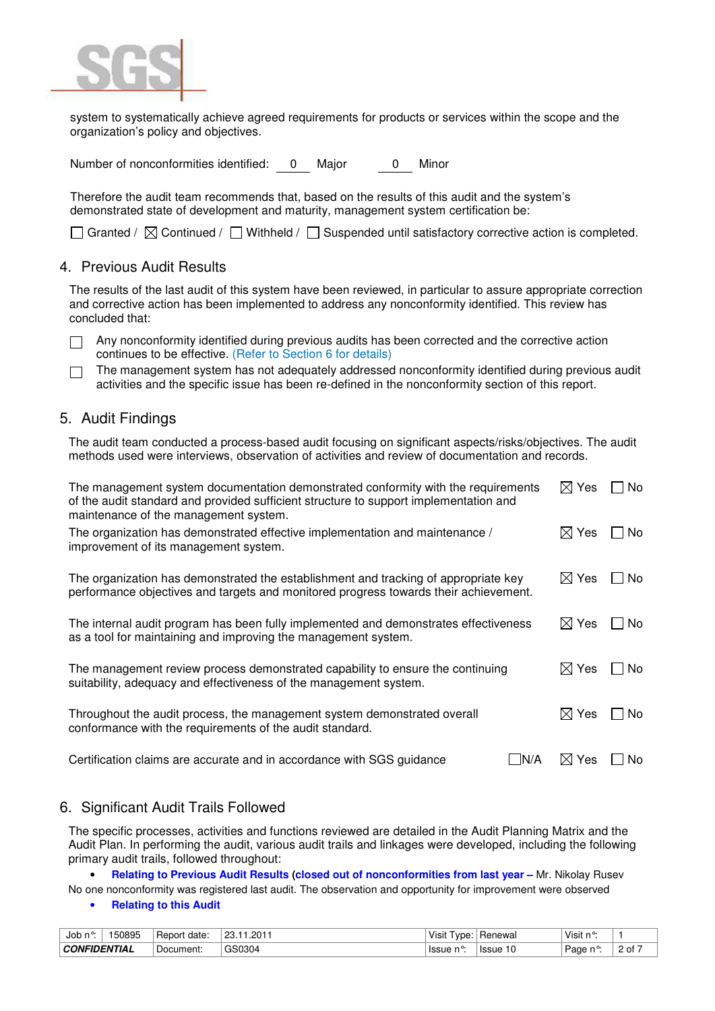

system to systematically achieve agreed requirements for products or services within the scope and the organization's policy and objectives.

Number of nonconformities identified: 0 Major 0 Minor

Therefore the audit team recommends that, based on the results of this audit and the system's demonstrated state of development and maturity, management system certification be:

 $\Box$  Granted /  $\boxtimes$  Continued /  $\Box$  Withheld /  $\Box$  Suspended until satisfactory corrective action is completed.

#### 4. Previous Audit Results

The results of the last audit of this system have been reviewed, in particular to assure appropriate correction and corrective action has been implemented to address any nonconformity identified. This review has concluded that:

 $\Box$  Any nonconformity identified during previous audits has been corrected and the corrective action continues to be effective. (Refer to Section 6 for details)

The management system has not adequately addressed nonconformity identified during previous audit П activities and the specific issue has been re-defined in the nonconformity section of this report.

### 5. Audit Findings

The audit team conducted a process-based audit focusing on significant aspects/risks/objectives. The audit methods used were interviews, observation of activities and review of documentation and records.

| The management system documentation demonstrated conformity with the requirements<br>of the audit standard and provided sufficient structure to support implementation and<br>maintenance of the management system. | $\boxtimes$ Yes | No.              |       |
|---------------------------------------------------------------------------------------------------------------------------------------------------------------------------------------------------------------------|-----------------|------------------|-------|
| The organization has demonstrated effective implementation and maintenance /<br>improvement of its management system.                                                                                               | $\boxtimes$ Yes | l No             |       |
| The organization has demonstrated the establishment and tracking of appropriate key<br>performance objectives and targets and monitored progress towards their achievement.                                         |                 | $\boxtimes$ Yes  | l INo |
| The internal audit program has been fully implemented and demonstrates effectiveness<br>as a tool for maintaining and improving the management system.                                                              |                 | $\boxtimes$ Yes  | No.   |
| The management review process demonstrated capability to ensure the continuing<br>suitability, adequacy and effectiveness of the management system.                                                                 |                 | $\boxtimes$ Yes  | No.   |
| Throughout the audit process, the management system demonstrated overall<br>conformance with the requirements of the audit standard.                                                                                |                 | $\boxtimes$ Yes  | No.   |
| Certification claims are accurate and in accordance with SGS guidance                                                                                                                                               | IN/A            | $\bowtie$<br>Yes | No    |

#### 6. Significant Audit Trails Followed

The specific processes, activities and functions reviewed are detailed in the Audit Planning Matrix and the Audit Plan. In performing the audit, various audit trails and linkages were developed, including the following primary audit trails, followed throughout:

• **Relating to Previous Audit Results (closed out of nonconformities from last year –** Mr. Nikolay Rusev No one nonconformity was registered last audit. The observation and opportunity for improvement were observed

#### • **Relating to this Audit**

| Job n°              | 50895 | ∽<br><b>Report</b><br>date | 2011<br>nn<br>. د∠ ∵<br>$\cdot$ . $\sim$ $\cdot$ | Visit<br>. vne:      | Renewal               | <sup>∃</sup> Visit n<br>$\sim$ 0 |             |
|---------------------|-------|----------------------------|--------------------------------------------------|----------------------|-----------------------|----------------------------------|-------------|
| <b>CONFIDENTIAL</b> |       | -<br>Document:             | GS0304                                           | $n^{\circ}$<br>Issue | 10<br>۱۵۵۱۱۵<br>155uc | Page<br>ໍ້                       | . .<br>2 of |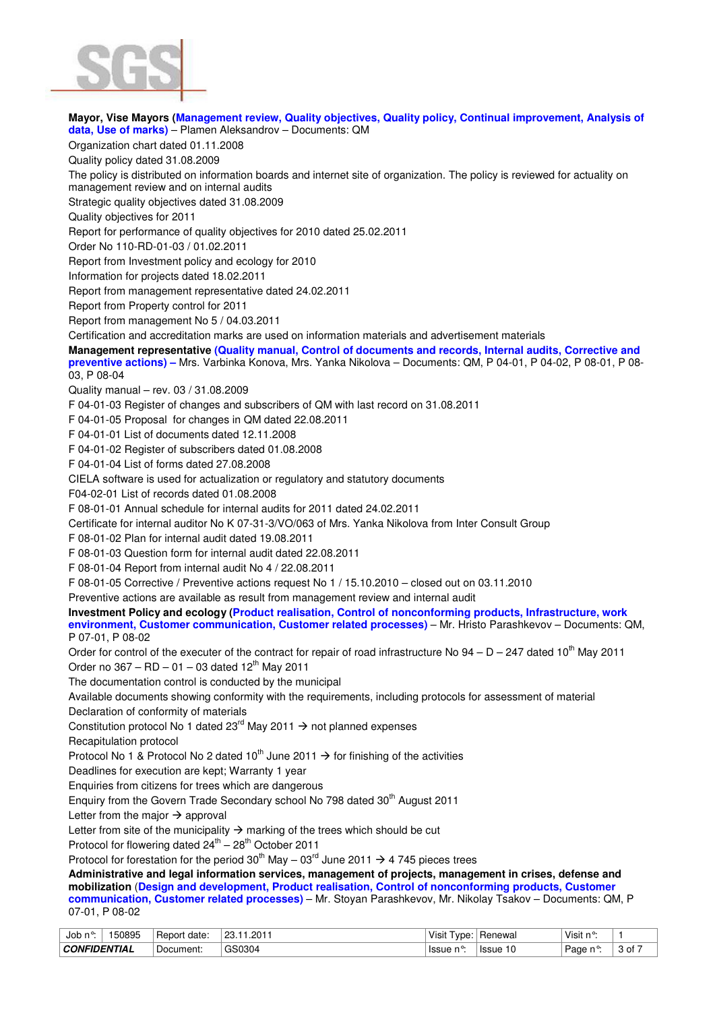

**Mayor, Vise Mayors (Management review, Quality objectives, Quality policy, Continual improvement, Analysis of data, Use of marks)** – Plamen Aleksandrov – Documents: QM Organization chart dated 01.11.2008 Quality policy dated 31.08.2009 The policy is distributed on information boards and internet site of organization. The policy is reviewed for actuality on management review and on internal audits Strategic quality objectives dated 31.08.2009 Quality objectives for 2011 Report for performance of quality objectives for 2010 dated 25.02.2011 Order No 110-RD-01-03 / 01.02.2011 Report from Investment policy and ecology for 2010 Information for projects dated 18.02.2011 Report from management representative dated 24.02.2011 Report from Property control for 2011 Report from management No 5 / 04.03.2011 Certification and accreditation marks are used on information materials and advertisement materials **Management representative (Quality manual, Control of documents and records, Internal audits, Corrective and preventive actions) –** Mrs. Varbinka Konova, Mrs. Yanka Nikolova – Documents: QM, P 04-01, P 04-02, P 08-01, P 08- 03, P 08-04 Quality manual – rev. 03 / 31.08.2009 F 04-01-03 Register of changes and subscribers of QM with last record on 31.08.2011 F 04-01-05 Proposal for changes in QM dated 22.08.2011 F 04-01-01 List of documents dated 12.11.2008 F 04-01-02 Register of subscribers dated 01.08.2008 F 04-01-04 List of forms dated 27.08.2008 CIELA software is used for actualization or regulatory and statutory documents F04-02-01 List of records dated 01.08.2008 F 08-01-01 Annual schedule for internal audits for 2011 dated 24.02.2011 Certificate for internal auditor No K 07-31-3/VO/063 of Mrs. Yanka Nikolova from Inter Consult Group F 08-01-02 Plan for internal audit dated 19.08.2011 F 08-01-03 Question form for internal audit dated 22.08.2011 F 08-01-04 Report from internal audit No 4 / 22.08.2011 F 08-01-05 Corrective / Preventive actions request No 1 / 15.10.2010 – closed out on 03.11.2010 Preventive actions are available as result from management review and internal audit **Investment Policy and ecology (Product realisation, Control of nonconforming products, Infrastructure, work environment, Customer communication, Customer related processes)** – Mr. Hristo Parashkevov – Documents: QM, P 07-01, P 08-02 Order for control of the executer of the contract for repair of road infrastructure No  $94 - D - 247$  dated 10<sup>th</sup> May 2011 Order no  $367 - RD - 01 - 03$  dated  $12<sup>th</sup>$  May 2011 The documentation control is conducted by the municipal Available documents showing conformity with the requirements, including protocols for assessment of material Declaration of conformity of materials Constitution protocol No 1 dated 23<sup>rd</sup> May 2011  $\rightarrow$  not planned expenses Recapitulation protocol Protocol No 1 & Protocol No 2 dated 10<sup>th</sup> June 2011  $\rightarrow$  for finishing of the activities Deadlines for execution are kept; Warranty 1 year Enquiries from citizens for trees which are dangerous Enquiry from the Govern Trade Secondary school No 798 dated 30<sup>th</sup> August 2011 Letter from the major  $\rightarrow$  approval Letter from site of the municipality  $\rightarrow$  marking of the trees which should be cut Protocol for flowering dated  $24^{th} - 28^{th}$  October 2011 Protocol for forestation for the period 30<sup>th</sup> May – 03<sup>rd</sup> June 2011  $\rightarrow$  4 745 pieces trees **Administrative and legal information services, management of projects, management in crises, defense and mobilization** (**Design and development, Product realisation, Control of nonconforming products, Customer communication, Customer related processes)** – Mr. Stoyan Parashkevov, Mr. Nikolay Tsakov – Documents: QM, P 07-01, P 08-02

| Job n°              | 50895 | date:<br>. Report | .201 <sup>2</sup><br>23. | Visit<br>vpe: | Renewal | Visit n°:      |                                  |
|---------------------|-------|-------------------|--------------------------|---------------|---------|----------------|----------------------------------|
| <b>CONFIDENTIAL</b> |       | Document:         | GS0304                   | lssue n°:     | . Issue | Page<br>$\sim$ | $\overline{\phantom{a}}$<br>. of |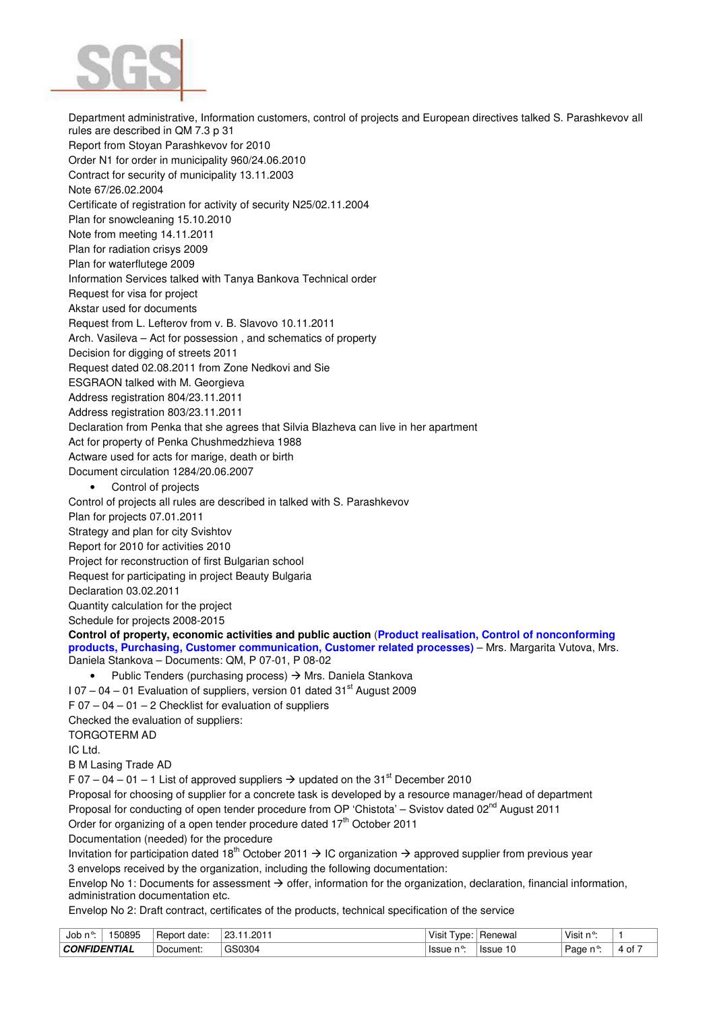

Department administrative, Information customers, control of projects and European directives talked S. Parashkevov all rules are described in QM 7.3 p 31 Report from Stoyan Parashkevov for 2010 Order N1 for order in municipality 960/24.06.2010 Contract for security of municipality 13.11.2003 Note 67/26.02.2004 Certificate of registration for activity of security N25/02.11.2004 Plan for snowcleaning 15.10.2010 Note from meeting 14.11.2011 Plan for radiation crisys 2009 Plan for waterflutege 2009 Information Services talked with Tanya Bankova Technical order Request for visa for project Akstar used for documents Request from L. Lefterov from v. B. Slavovo 10.11.2011 Arch. Vasileva – Act for possession , and schematics of property Decision for digging of streets 2011 Request dated 02.08.2011 from Zone Nedkovi and Sie ESGRAON talked with M. Georgieva Address registration 804/23.11.2011 Address registration 803/23.11.2011 Declaration from Penka that she agrees that Silvia Blazheva can live in her apartment Act for property of Penka Chushmedzhieva 1988 Actware used for acts for marige, death or birth Document circulation 1284/20.06.2007 Control of projects Control of projects all rules are described in talked with S. Parashkevov Plan for projects 07.01.2011 Strategy and plan for city Svishtov Report for 2010 for activities 2010 Project for reconstruction of first Bulgarian school Request for participating in project Beauty Bulgaria Declaration 03.02.2011 Quantity calculation for the project Schedule for projects 2008-2015 **Control of property, economic activities and public auction** (**Product realisation, Control of nonconforming products, Purchasing, Customer communication, Customer related processes)** – Mrs. Margarita Vutova, Mrs. Daniela Stankova – Documents: QM, P 07-01, P 08-02 • Public Tenders (purchasing process)  $\rightarrow$  Mrs. Daniela Stankova  $107 - 04 - 01$  Evaluation of suppliers, version 01 dated  $31<sup>st</sup>$  August 2009  $F 07 - 04 - 01 - 2$  Checklist for evaluation of suppliers Checked the evaluation of suppliers: TORGOTERM AD IC Ltd. B M Lasing Trade AD F 07 – 04 – 01 – 1 List of approved suppliers  $\rightarrow$  updated on the 31<sup>st</sup> December 2010 Proposal for choosing of supplier for a concrete task is developed by a resource manager/head of department Proposal for conducting of open tender procedure from OP 'Chistota' – Svistov dated 02<sup>nd</sup> August 2011 Order for organizing of a open tender procedure dated 17<sup>th</sup> October 2011 Documentation (needed) for the procedure Invitation for participation dated 18<sup>th</sup> October 2011  $\rightarrow$  IC organization  $\rightarrow$  approved supplier from previous year 3 envelops received by the organization, including the following documentation: Envelop No 1: Documents for assessment  $\rightarrow$  offer, information for the organization, declaration, financial information, administration documentation etc. Envelop No 2: Draft contract, certificates of the products, technical specification of the service

Job n°: | 150895 │Report date: │23.11.2011 Visit Type: │Renewal Visit Type: │ Nisit n°: │ 1 **CONFIDENTIAL** Document: GS0304 Issue n°: Issue 10 Page n°: 4 of 7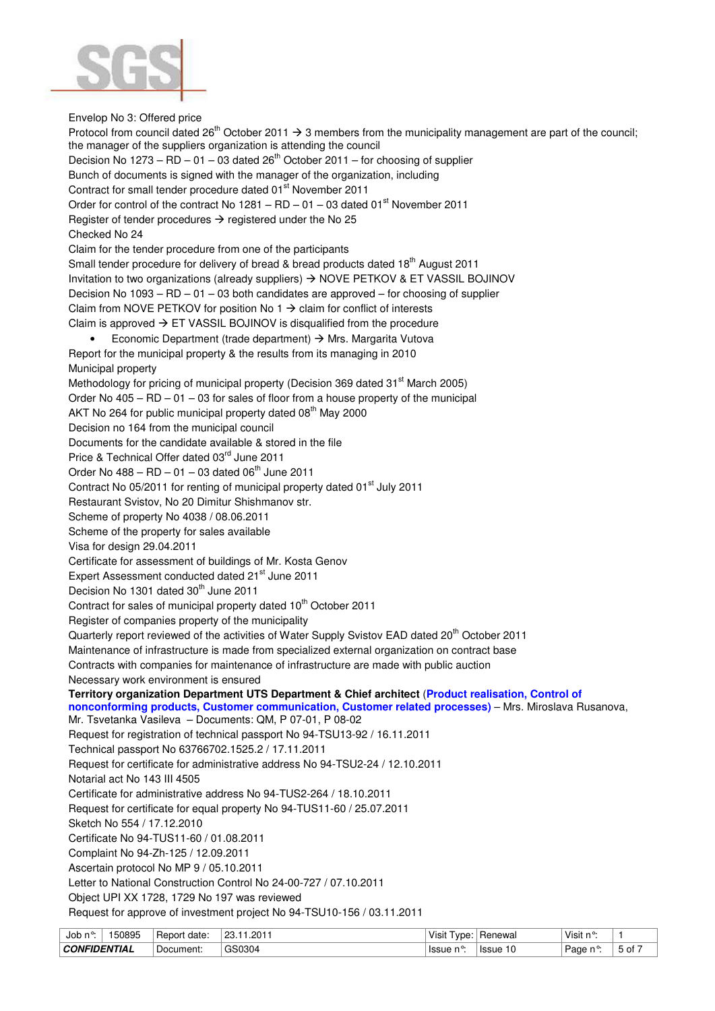

Envelop No 3: Offered price

Protocol from council dated 26<sup>th</sup> October 2011  $\rightarrow$  3 members from the municipality management are part of the council; the manager of the suppliers organization is attending the council Decision No 1273 – RD – 01 – 03 dated  $26<sup>th</sup>$  October 2011 – for choosing of supplier Bunch of documents is signed with the manager of the organization, including Contract for small tender procedure dated 01<sup>st</sup> November 2011 Order for control of the contract No  $1281 - RD - 01 - 03$  dated  $01<sup>st</sup>$  November 2011 Register of tender procedures  $\rightarrow$  registered under the No 25 Checked No 24 Claim for the tender procedure from one of the participants Small tender procedure for delivery of bread & bread products dated  $18<sup>th</sup>$  August 2011 Invitation to two organizations (already suppliers)  $\rightarrow$  NOVE PETKOV & ET VASSIL BOJINOV Decision No 1093 – RD – 01 – 03 both candidates are approved – for choosing of supplier Claim from NOVE PETKOV for position No  $1 \rightarrow$  claim for conflict of interests Claim is approved  $\rightarrow$  ET VASSIL BOJINOV is disqualified from the procedure • Economic Department (trade department)  $\rightarrow$  Mrs. Margarita Vutova Report for the municipal property & the results from its managing in 2010 Municipal property Methodology for pricing of municipal property (Decision 369 dated 31<sup>st</sup> March 2005) Order No  $405 - RD - 01 - 03$  for sales of floor from a house property of the municipal AKT No 264 for public municipal property dated 08<sup>th</sup> May 2000 Decision no 164 from the municipal council Documents for the candidate available & stored in the file Price & Technical Offer dated 03rd June 2011 Order No  $488 - RD - 01 - 03$  dated  $06<sup>th</sup>$  June 2011 Contract No 05/2011 for renting of municipal property dated 01<sup>st</sup> July 2011 Restaurant Svistov, No 20 Dimitur Shishmanov str. Scheme of property No 4038 / 08.06.2011 Scheme of the property for sales available Visa for design 29.04.2011 Certificate for assessment of buildings of Mr. Kosta Genov Expert Assessment conducted dated 21<sup>st</sup> June 2011 Decision No 1301 dated 30<sup>th</sup> June 2011 Contract for sales of municipal property dated 10<sup>th</sup> October 2011 Register of companies property of the municipality Quarterly report reviewed of the activities of Water Supply Svistov EAD dated 20<sup>th</sup> October 2011 Maintenance of infrastructure is made from specialized external organization on contract base Contracts with companies for maintenance of infrastructure are made with public auction Necessary work environment is ensured **Territory organization Department UTS Department & Chief architect** (**Product realisation, Control of nonconforming products, Customer communication, Customer related processes)** – Mrs. Miroslava Rusanova, Mr. Tsvetanka Vasileva – Documents: QM, P 07-01, P 08-02 Request for registration of technical passport No 94-TSU13-92 / 16.11.2011 Technical passport No 63766702.1525.2 / 17.11.2011 Request for certificate for administrative address No 94-TSU2-24 / 12.10.2011 Notarial act No 143 III 4505 Certificate for administrative address No 94-TUS2-264 / 18.10.2011 Request for certificate for equal property No 94-TUS11-60 / 25.07.2011 Sketch No 554 / 17.12.2010 Certificate No 94-TUS11-60 / 01.08.2011 Complaint No 94-Zh-125 / 12.09.2011 Ascertain protocol No MP 9 / 05.10.2011 Letter to National Construction Control No 24-00-727 / 07.10.2011 Object UPI XX 1728, 1729 No 197 was reviewed Request for approve of investment project No 94-TSU10-156 / 03.11.2011

| Job n°<br>150895    | -<br>⊦Report<br>date: | .201<br>, ၁၈        | Visit<br>vpe: | ' Renewai    | Visit n°: |      |
|---------------------|-----------------------|---------------------|---------------|--------------|-----------|------|
| <b>CONFIDENTIAL</b> | ' Document:           | <sup>1</sup> GS0304 | lssue n°:     | Issue<br>1 U | . Page n≌ | , ot |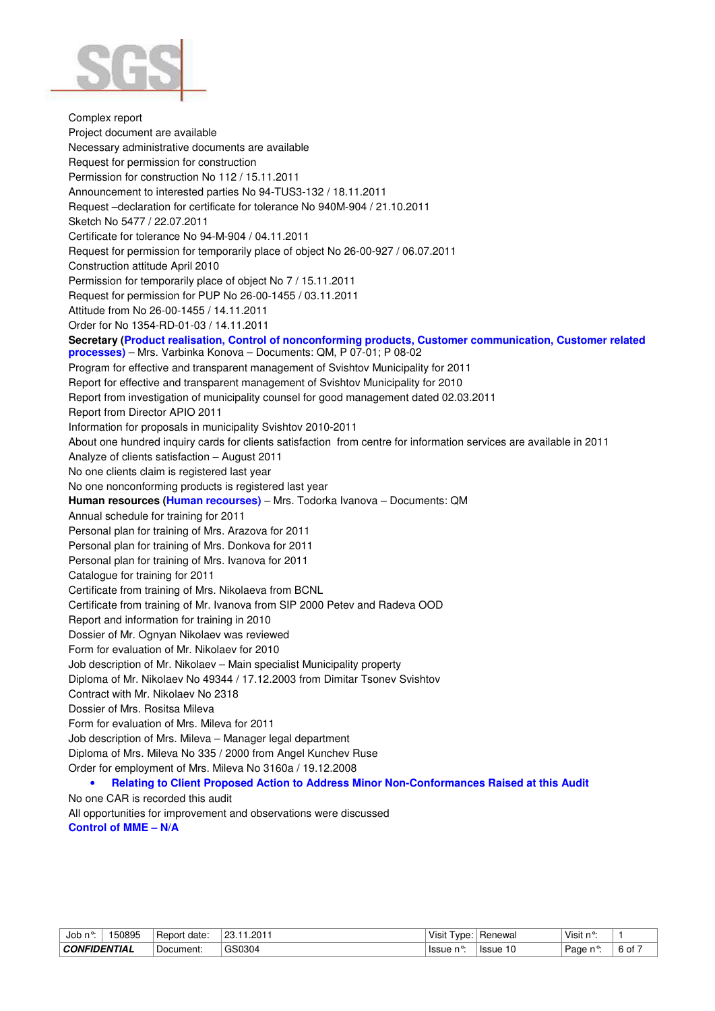

Complex report Project document are available Necessary administrative documents are available Request for permission for construction Permission for construction No 112 / 15.11.2011 Announcement to interested parties No 94-TUS3-132 / 18.11.2011 Request –declaration for certificate for tolerance No 940M-904 / 21.10.2011 Sketch No 5477 / 22.07.2011 Certificate for tolerance No 94-M-904 / 04.11.2011 Request for permission for temporarily place of object No 26-00-927 / 06.07.2011 Construction attitude April 2010 Permission for temporarily place of object No 7 / 15.11.2011 Request for permission for PUP No 26-00-1455 / 03.11.2011 Attitude from No 26-00-1455 / 14.11.2011 Order for No 1354-RD-01-03 / 14.11.2011 **Secretary (Product realisation, Control of nonconforming products, Customer communication, Customer related processes)** – Mrs. Varbinka Konova – Documents: QM, P 07-01; P 08-02 Program for effective and transparent management of Svishtov Municipality for 2011 Report for effective and transparent management of Svishtov Municipality for 2010 Report from investigation of municipality counsel for good management dated 02.03.2011 Report from Director APIO 2011 Information for proposals in municipality Svishtov 2010-2011 About one hundred inquiry cards for clients satisfaction from centre for information services are available in 2011 Analyze of clients satisfaction – August 2011 No one clients claim is registered last year No one nonconforming products is registered last year **Human resources (Human recourses)** – Mrs. Todorka Ivanova – Documents: QM Annual schedule for training for 2011 Personal plan for training of Mrs. Arazova for 2011 Personal plan for training of Mrs. Donkova for 2011 Personal plan for training of Mrs. Ivanova for 2011 Catalogue for training for 2011 Certificate from training of Mrs. Nikolaeva from BCNL Certificate from training of Mr. Ivanova from SIP 2000 Petev and Radeva OOD Report and information for training in 2010 Dossier of Mr. Ognyan Nikolaev was reviewed Form for evaluation of Mr. Nikolaev for 2010 Job description of Mr. Nikolaev – Main specialist Municipality property Diploma of Mr. Nikolaev No 49344 / 17.12.2003 from Dimitar Tsonev Svishtov Contract with Mr. Nikolaev No 2318 Dossier of Mrs. Rositsa Mileva Form for evaluation of Mrs. Mileva for 2011 Job description of Mrs. Mileva – Manager legal department Diploma of Mrs. Mileva No 335 / 2000 from Angel Kunchev Ruse Order for employment of Mrs. Mileva No 3160a / 19.12.2008 • **Relating to Client Proposed Action to Address Minor Non-Conformances Raised at this Audit**  No one CAR is recorded this audit All opportunities for improvement and observations were discussed

**Control of MME – N/A** 

| Job<br>n°           | 50895 | date:<br>. Report | 101″،<br>23. | Visit<br>⊥ vpe: | Renewal     | Visit n°: |      |
|---------------------|-------|-------------------|--------------|-----------------|-------------|-----------|------|
| <b>CONFIDENTIAL</b> |       | Document:         | GS0304       | ˈIssue          | 10<br>Issue | ູ<br>Page | 6 of |